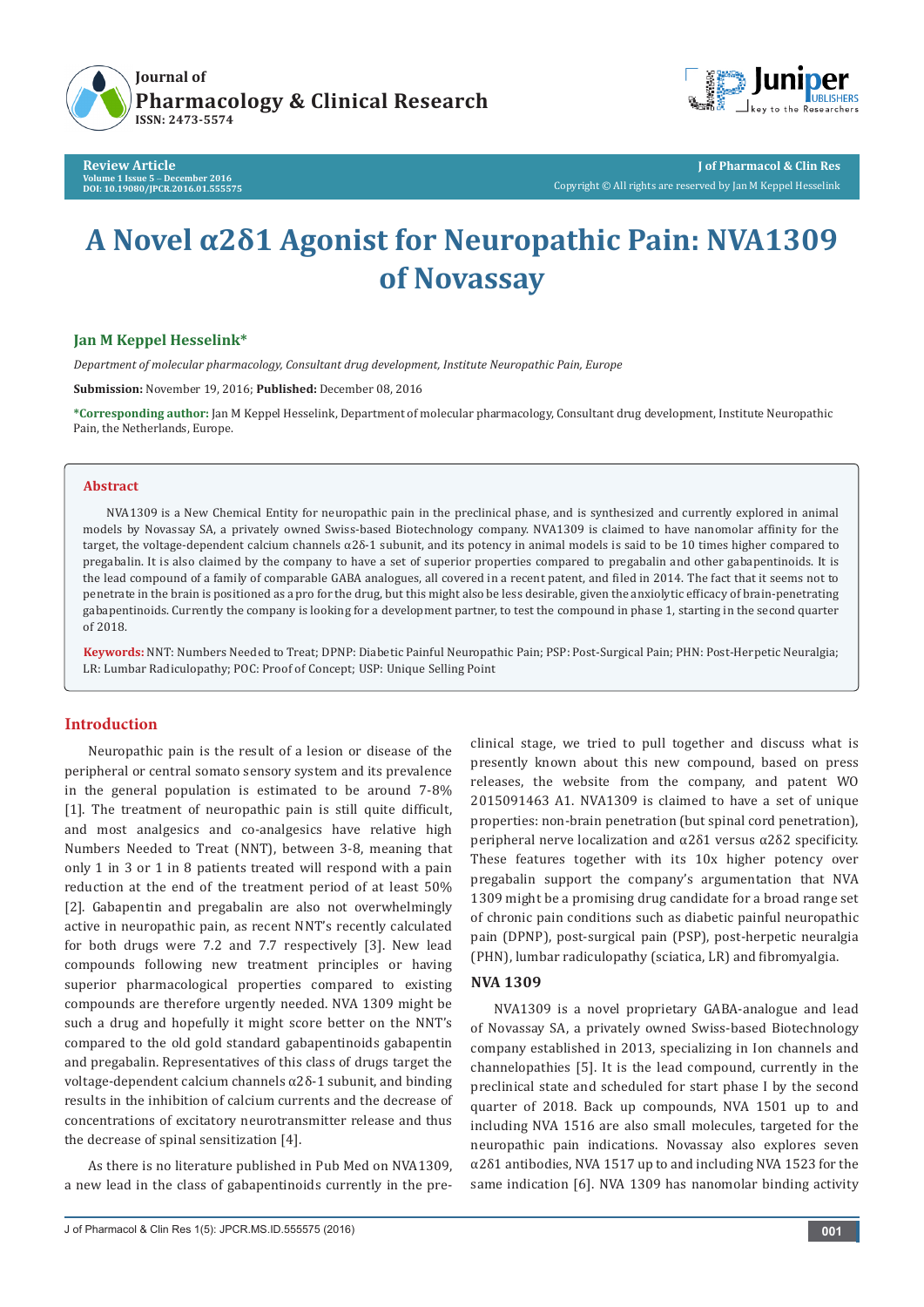

**Review Article Volume 1 Issue 5** - **December 2016 DOI: [10.19080/JPCR.2016.01.555575](http://dx.doi.org/10.19080/JPCR.2016.01.555575)**



**J of Pharmacol & Clin Res** Copyright © All rights are reserved by Jan M Keppel Hesselink

# **A Novel α2δ1 Agonist for Neuropathic Pain: NVA1309 of Novassay**

## **Jan M Keppel Hesselink\***

*Department of molecular pharmacology, Consultant drug development, Institute Neuropathic Pain, Europe*

**Submission:** November 19, 2016; **Published:** December 08, 2016

**\*Corresponding author:** Jan M Keppel Hesselink, Department of molecular pharmacology, Consultant drug development, Institute Neuropathic Pain, the Netherlands, Europe.

#### **Abstract**

NVA1309 is a New Chemical Entity for neuropathic pain in the preclinical phase, and is synthesized and currently explored in animal models by Novassay SA, a privately owned Swiss-based Biotechnology company. NVA1309 is claimed to have nanomolar affinity for the target, the voltage-dependent calcium channels α2δ-1 subunit, and its potency in animal models is said to be 10 times higher compared to pregabalin. It is also claimed by the company to have a set of superior properties compared to pregabalin and other gabapentinoids. It is the lead compound of a family of comparable GABA analogues, all covered in a recent patent, and filed in 2014. The fact that it seems not to penetrate in the brain is positioned as a pro for the drug, but this might also be less desirable, given the anxiolytic efficacy of brain-penetrating gabapentinoids. Currently the company is looking for a development partner, to test the compound in phase 1, starting in the second quarter of 2018.

**Keywords:** NNT: Numbers Needed to Treat; DPNP: Diabetic Painful Neuropathic Pain; PSP: Post-Surgical Pain; PHN: Post-Herpetic Neuralgia; LR: Lumbar Radiculopathy; POC: Proof of Concept; USP: Unique Selling Point

## **Introduction**

Neuropathic pain is the result of a lesion or disease of the peripheral or central somato sensory system and its prevalence in the general population is estimated to be around 7-8% [1]. The treatment of neuropathic pain is still quite difficult, and most analgesics and co-analgesics have relative high Numbers Needed to Treat (NNT), between 3-8, meaning that only 1 in 3 or 1 in 8 patients treated will respond with a pain reduction at the end of the treatment period of at least 50% [2]. Gabapentin and pregabalin are also not overwhelmingly active in neuropathic pain, as recent NNT's recently calculated for both drugs were 7.2 and 7.7 respectively [3]. New lead compounds following new treatment principles or having superior pharmacological properties compared to existing compounds are therefore urgently needed. NVA 1309 might be such a drug and hopefully it might score better on the NNT's compared to the old gold standard gabapentinoids gabapentin and pregabalin. Representatives of this class of drugs target the voltage-dependent calcium channels α2δ-1 subunit, and binding results in the inhibition of calcium currents and the decrease of concentrations of excitatory neurotransmitter release and thus the decrease of spinal sensitization [4].

As there is no literature published in Pub Med on NVA1309, a new lead in the class of gabapentinoids currently in the preclinical stage, we tried to pull together and discuss what is presently known about this new compound, based on press releases, the website from the company, and patent WO 2015091463 A1. NVA1309 is claimed to have a set of unique properties: non-brain penetration (but spinal cord penetration), peripheral nerve localization and α2δ1 versus α2δ2 specificity. These features together with its 10x higher potency over pregabalin support the company's argumentation that NVA 1309 might be a promising drug candidate for a broad range set of chronic pain conditions such as diabetic painful neuropathic pain (DPNP), post-surgical pain (PSP), post-herpetic neuralgia (PHN), lumbar radiculopathy (sciatica, LR) and fibromyalgia.

#### **NVA 1309**

NVA1309 is a novel proprietary GABA-analogue and lead of Novassay SA, a privately owned Swiss-based Biotechnology company established in 2013, specializing in Ion channels and channelopathies [5]. It is the lead compound, currently in the preclinical state and scheduled for start phase I by the second quarter of 2018. Back up compounds, NVA 1501 up to and including NVA 1516 are also small molecules, targeted for the neuropathic pain indications. Novassay also explores seven  $\alpha$ 2 $\delta$ 1 antibodies, NVA 1517 up to and including NVA 1523 for the same indication [6]. NVA 1309 has nanomolar binding activity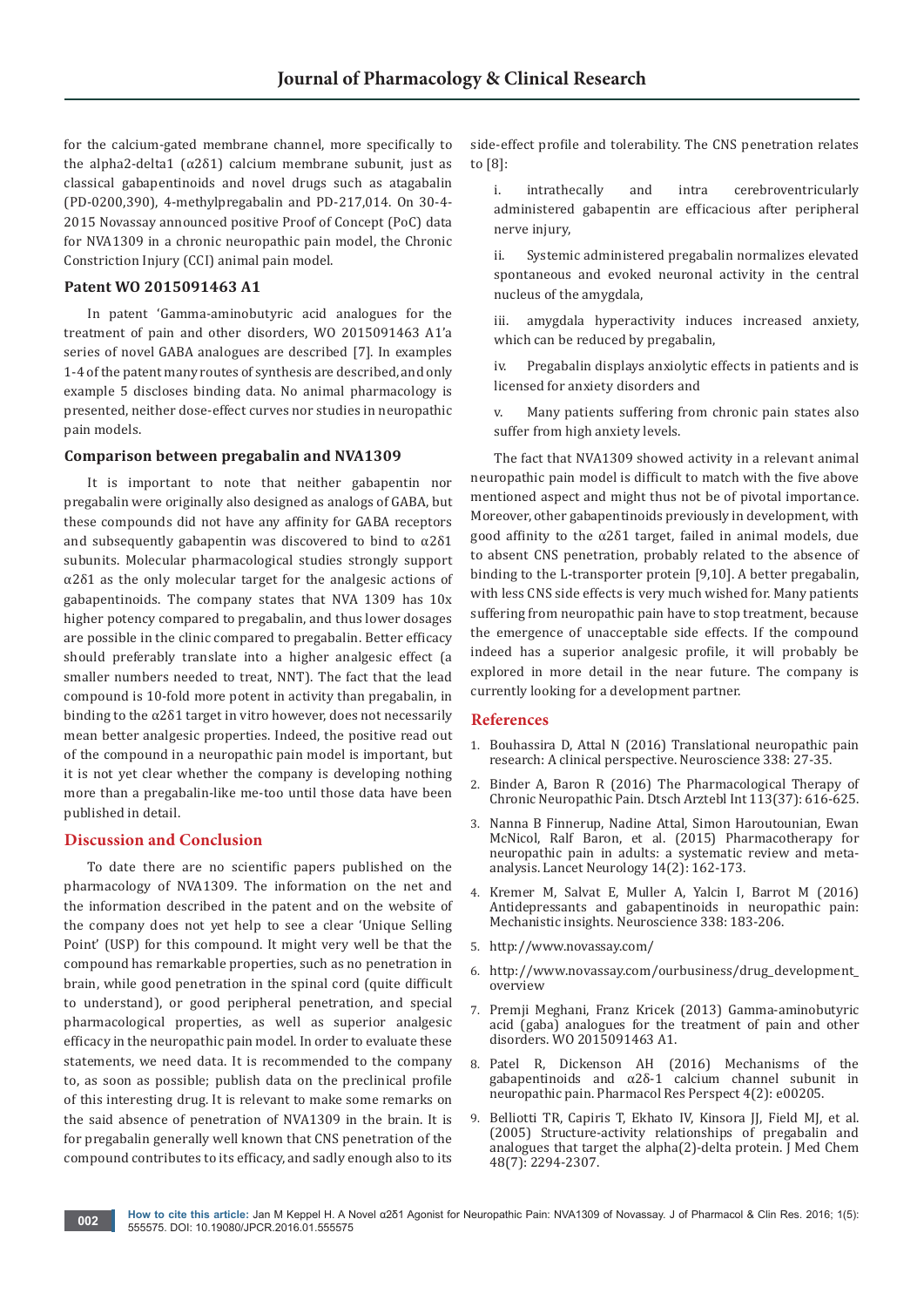for the calcium-gated membrane channel, more specifically to the alpha2-delta1 ( $α2δ1$ ) calcium membrane subunit, just as classical gabapentinoids and novel drugs such as atagabalin (PD-0200,390), 4-methylpregabalin and PD-217,014. On 30-4- 2015 Novassay announced positive Proof of Concept (PoC) data for NVA1309 in a chronic neuropathic pain model, the Chronic Constriction Injury (CCI) animal pain model.

#### **Patent WO 2015091463 A1**

In patent 'Gamma-aminobutyric acid analogues for the treatment of pain and other disorders, WO 2015091463 A1'a series of novel GABA analogues are described [7]. In examples 1-4 of the patent many routes of synthesis are described, and only example 5 discloses binding data. No animal pharmacology is presented, neither dose-effect curves nor studies in neuropathic pain models.

#### **Comparison between pregabalin and NVA1309**

It is important to note that neither gabapentin nor pregabalin were originally also designed as analogs of GABA, but these compounds did not have any affinity for GABA receptors and subsequently gabapentin was discovered to bind to  $\alpha$ 2 $\delta$ 1 subunits. Molecular pharmacological studies strongly support α2δ1 as the only molecular target for the analgesic actions of gabapentinoids. The company states that NVA 1309 has 10x higher potency compared to pregabalin, and thus lower dosages are possible in the clinic compared to pregabalin. Better efficacy should preferably translate into a higher analgesic effect (a smaller numbers needed to treat, NNT). The fact that the lead compound is 10-fold more potent in activity than pregabalin, in binding to the  $\alpha$ 2 $\delta$ 1 target in vitro however, does not necessarily mean better analgesic properties. Indeed, the positive read out of the compound in a neuropathic pain model is important, but it is not yet clear whether the company is developing nothing more than a pregabalin-like me-too until those data have been published in detail.

#### **Discussion and Conclusion**

To date there are no scientific papers published on the pharmacology of NVA1309. The information on the net and the information described in the patent and on the website of the company does not yet help to see a clear 'Unique Selling Point' (USP) for this compound. It might very well be that the compound has remarkable properties, such as no penetration in brain, while good penetration in the spinal cord (quite difficult to understand), or good peripheral penetration, and special pharmacological properties, as well as superior analgesic efficacy in the neuropathic pain model. In order to evaluate these statements, we need data. It is recommended to the company to, as soon as possible; publish data on the preclinical profile of this interesting drug. It is relevant to make some remarks on the said absence of penetration of NVA1309 in the brain. It is for pregabalin generally well known that CNS penetration of the compound contributes to its efficacy, and sadly enough also to its

side-effect profile and tolerability. The CNS penetration relates to [8]:

- i. intrathecally and intra cerebroventricularly administered gabapentin are efficacious after peripheral nerve injury,
- ii. Systemic administered pregabalin normalizes elevated spontaneous and evoked neuronal activity in the central nucleus of the amygdala,
- iii. amygdala hyperactivity induces increased anxiety, which can be reduced by pregabalin,
- iv. Pregabalin displays anxiolytic effects in patients and is licensed for anxiety disorders and
- v. Many patients suffering from chronic pain states also suffer from high anxiety levels.

The fact that NVA1309 showed activity in a relevant animal neuropathic pain model is difficult to match with the five above mentioned aspect and might thus not be of pivotal importance. Moreover, other gabapentinoids previously in development, with good affinity to the α2δ1 target, failed in animal models, due to absent CNS penetration, probably related to the absence of binding to the L-transporter protein [9,10]. A better pregabalin, with less CNS side effects is very much wished for. Many patients suffering from neuropathic pain have to stop treatment, because the emergence of unacceptable side effects. If the compound indeed has a superior analgesic profile, it will probably be explored in more detail in the near future. The company is currently looking for a development partner.

#### **References**

- 1. [Bouhassira D, Attal N \(2016\) Translational neuropathic pain](https://www.ncbi.nlm.nih.gov/pubmed/26995083)  [research: A clinical perspective. Neuroscience 338: 27-35.](https://www.ncbi.nlm.nih.gov/pubmed/26995083)
- 2. [Binder A, Baron R \(2016\) The Pharmacological Therapy of](https://www.ncbi.nlm.nih.gov/pubmed/27697147)  [Chronic Neuropathic Pain. Dtsch Arztebl Int 113\(37\): 616-625.](https://www.ncbi.nlm.nih.gov/pubmed/27697147)
- 3. [Nanna B Finnerup, Nadine Attal, Simon Haroutounian, Ewan](http://www.thelancet.com/journals/laneur/article/PIIS1474-4422(14)70251-0/abstract)  [McNicol, Ralf Baron, et al. \(2015\) Pharmacotherapy for](http://www.thelancet.com/journals/laneur/article/PIIS1474-4422(14)70251-0/abstract)  [neuropathic pain in adults: a systematic review and meta](http://www.thelancet.com/journals/laneur/article/PIIS1474-4422(14)70251-0/abstract)[analysis. Lancet Neurology 14\(2\): 162-173.](http://www.thelancet.com/journals/laneur/article/PIIS1474-4422(14)70251-0/abstract)
- 4. [Kremer M, Salvat E, Muller A, Yalcin I, Barrot M \(2016\)](https://www.ncbi.nlm.nih.gov/pubmed/27401055)  [Antidepressants and gabapentinoids in neuropathic pain:](https://www.ncbi.nlm.nih.gov/pubmed/27401055)  [Mechanistic insights. Neuroscience 338: 183-206.](https://www.ncbi.nlm.nih.gov/pubmed/27401055)
- 5. http://www.novassay.com/
- 6. http://www.novassay.com/ourbusiness/drug\_development\_ overview
- 7. [Premji Meghani, Franz Kricek \(2013\) Gamma-aminobutyric](https://www.google.com/patents/WO2015091463A1?cl=en)  [acid \(gaba\) analogues for the treatment of pain and other](https://www.google.com/patents/WO2015091463A1?cl=en)  [disorders. WO 2015091463 A1.](https://www.google.com/patents/WO2015091463A1?cl=en)
- 8. [Patel R, Dickenson AH \(2016\) Mechanisms of the](https://www.ncbi.nlm.nih.gov/pubmed/27069626)  gabapentinoids and α2δ[-1 calcium channel subunit in](https://www.ncbi.nlm.nih.gov/pubmed/27069626)  [neuropathic pain. Pharmacol Res Perspect 4\(2\): e00205.](https://www.ncbi.nlm.nih.gov/pubmed/27069626)
- 9. [Belliotti TR, Capiris T, Ekhato IV, Kinsora JJ, Field MJ, et al.](https://www.ncbi.nlm.nih.gov/pubmed/15801823)  [\(2005\) Structure-activity relationships of pregabalin and](https://www.ncbi.nlm.nih.gov/pubmed/15801823)  [analogues that target the alpha\(2\)-delta protein. J Med Chem](https://www.ncbi.nlm.nih.gov/pubmed/15801823)  [48\(7\): 2294-2307.](https://www.ncbi.nlm.nih.gov/pubmed/15801823)